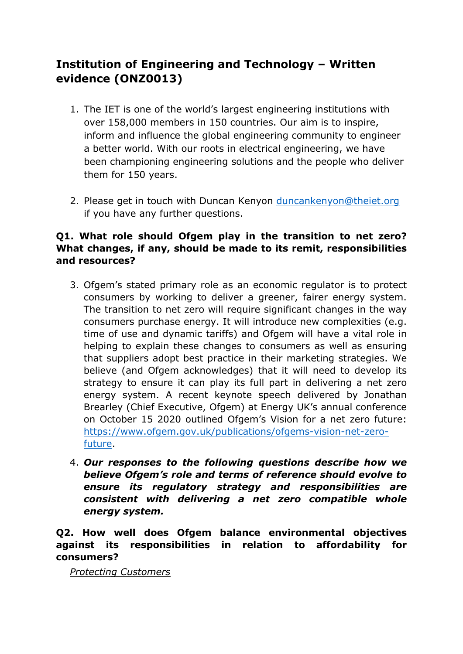# **Institution of Engineering and Technology – Written evidence (ONZ0013)**

- 1. The IET is one of the world's largest engineering institutions with over 158,000 members in 150 countries. Our aim is to inspire, inform and influence the global engineering community to engineer a better world. With our roots in electrical engineering, we have been championing engineering solutions and the people who deliver them for 150 years.
- 2. Please get in touch with Duncan Kenyon [duncankenyon@theiet.org](mailto:duncankenyon@theiet.org) if you have any further questions.

# **Q1. What role should Ofgem play in the transition to net zero? What changes, if any, should be made to its remit, responsibilities and resources?**

- 3. Ofgem's stated primary role as an economic regulator is to protect consumers by working to deliver a greener, fairer energy system. The transition to net zero will require significant changes in the way consumers purchase energy. It will introduce new complexities (e.g. time of use and dynamic tariffs) and Ofgem will have a vital role in helping to explain these changes to consumers as well as ensuring that suppliers adopt best practice in their marketing strategies. We believe (and Ofgem acknowledges) that it will need to develop its strategy to ensure it can play its full part in delivering a net zero energy system. A recent keynote speech delivered by Jonathan Brearley (Chief Executive, Ofgem) at Energy UK's annual conference on October 15 2020 outlined Ofgem's Vision for a net zero future: [https://www.ofgem.gov.uk/publications/ofgems-vision-net-zero](https://www.ofgem.gov.uk/publications/ofgems-vision-net-zero-future)[future](https://www.ofgem.gov.uk/publications/ofgems-vision-net-zero-future).
- 4. *Our responses to the following questions describe how we believe Ofgem's role and terms of reference should evolve to ensure its regulatory strategy and responsibilities are consistent with delivering a net zero compatible whole energy system.*

**Q2. How well does Ofgem balance environmental objectives against its responsibilities in relation to affordability for consumers?**

*Protecting Customers*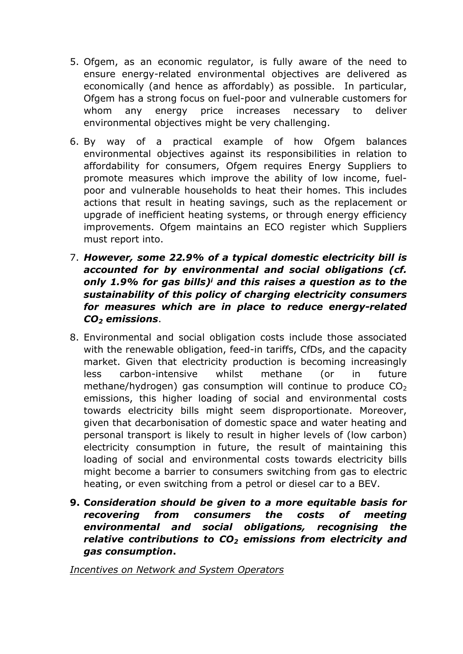- 5. Ofgem, as an economic regulator, is fully aware of the need to ensure energy-related environmental objectives are delivered as economically (and hence as affordably) as possible. In particular, Ofgem has a strong focus on fuel-poor and vulnerable customers for whom any energy price increases necessary to deliver environmental objectives might be very challenging.
- 6. By way of a practical example of how Ofgem balances environmental objectives against its responsibilities in relation to affordability for consumers, Ofgem requires Energy Suppliers to promote measures which improve the ability of low income, fuelpoor and vulnerable households to heat their homes. This includes actions that result in heating savings, such as the replacement or upgrade of inefficient heating systems, or through energy efficiency improvements. Ofgem maintains an ECO register which Suppliers must report into.
- 7. *However, some 22.9% of a typical domestic electricity bill is accounted for by environmental and social obligations (cf. only 1.9% for gas bills)<sup>i</sup> and this raises a question as to the sustainability of this policy of charging electricity consumers for measures which are in place to reduce energy-related CO<sup>2</sup> emissions*.
- 8. Environmental and social obligation costs include those associated with the renewable obligation, feed-in tariffs, CfDs, and the capacity market. Given that electricity production is becoming increasingly less carbon-intensive whilst methane (or in future methane/hydrogen) gas consumption will continue to produce  $CO<sub>2</sub>$ emissions, this higher loading of social and environmental costs towards electricity bills might seem disproportionate. Moreover, given that decarbonisation of domestic space and water heating and personal transport is likely to result in higher levels of (low carbon) electricity consumption in future, the result of maintaining this loading of social and environmental costs towards electricity bills might become a barrier to consumers switching from gas to electric heating, or even switching from a petrol or diesel car to a BEV.
- **9. C***onsideration should be given to a more equitable basis for recovering from consumers the costs of meeting environmental and social obligations, recognising the relative contributions to CO<sup>2</sup> emissions from electricity and gas consumption***.**

*Incentives on Network and System Operators*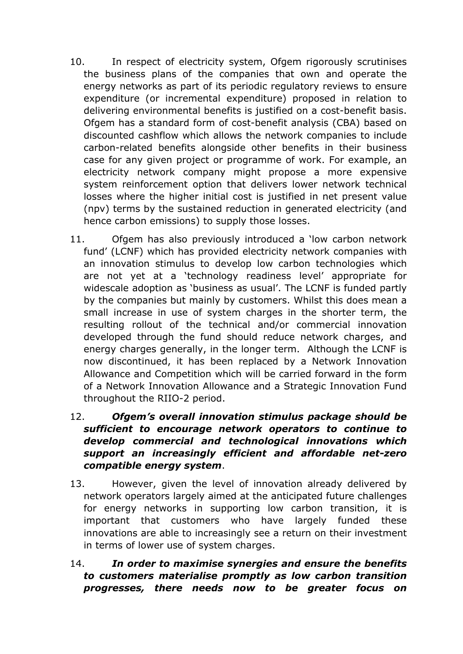- 10. In respect of electricity system, Ofgem rigorously scrutinises the business plans of the companies that own and operate the energy networks as part of its periodic regulatory reviews to ensure expenditure (or incremental expenditure) proposed in relation to delivering environmental benefits is justified on a cost-benefit basis. Ofgem has a standard form of cost-benefit analysis (CBA) based on discounted cashflow which allows the network companies to include carbon-related benefits alongside other benefits in their business case for any given project or programme of work. For example, an electricity network company might propose a more expensive system reinforcement option that delivers lower network technical losses where the higher initial cost is justified in net present value (npv) terms by the sustained reduction in generated electricity (and hence carbon emissions) to supply those losses.
- 11. Ofgem has also previously introduced a 'low carbon network fund' (LCNF) which has provided electricity network companies with an innovation stimulus to develop low carbon technologies which are not yet at a 'technology readiness level' appropriate for widescale adoption as 'business as usual'. The LCNF is funded partly by the companies but mainly by customers. Whilst this does mean a small increase in use of system charges in the shorter term, the resulting rollout of the technical and/or commercial innovation developed through the fund should reduce network charges, and energy charges generally, in the longer term. Although the LCNF is now discontinued, it has been replaced by a Network Innovation Allowance and Competition which will be carried forward in the form of a Network Innovation Allowance and a Strategic Innovation Fund throughout the RIIO-2 period.
- 12. *Ofgem's overall innovation stimulus package should be sufficient to encourage network operators to continue to develop commercial and technological innovations which support an increasingly efficient and affordable net-zero compatible energy system*.
- 13. However, given the level of innovation already delivered by network operators largely aimed at the anticipated future challenges for energy networks in supporting low carbon transition, it is important that customers who have largely funded these innovations are able to increasingly see a return on their investment in terms of lower use of system charges.
- 14. *In order to maximise synergies and ensure the benefits to customers materialise promptly as low carbon transition progresses, there needs now to be greater focus on*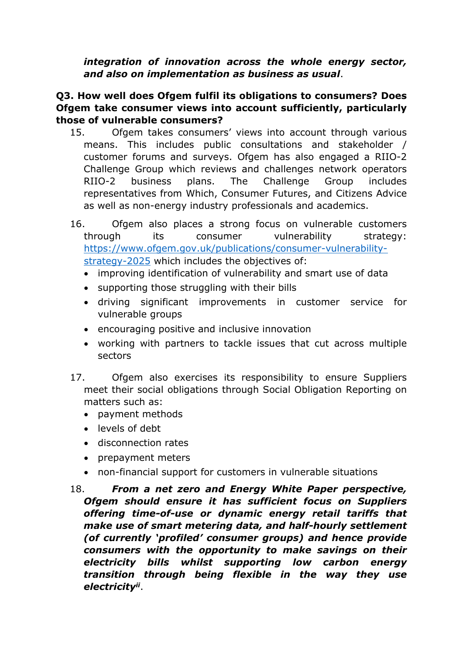*integration of innovation across the whole energy sector, and also on implementation as business as usual*.

# **Q3. How well does Ofgem fulfil its obligations to consumers? Does Ofgem take consumer views into account sufficiently, particularly those of vulnerable consumers?**

- 15. Ofgem takes consumers' views into account through various means. This includes public consultations and stakeholder / customer forums and surveys. Ofgem has also engaged a RIIO-2 Challenge Group which reviews and challenges network operators RIIO-2 business plans. The Challenge Group includes representatives from Which, Consumer Futures, and Citizens Advice as well as non-energy industry professionals and academics.
- 16. Ofgem also places a strong focus on vulnerable customers through its consumer vulnerability strategy: [https://www.ofgem.gov.uk/publications/consumer-vulnerability](https://www.ofgem.gov.uk/publications/consumer-vulnerability-strategy-2025)[strategy-2025](https://www.ofgem.gov.uk/publications/consumer-vulnerability-strategy-2025) which includes the objectives of:
	- improving identification of vulnerability and smart use of data
	- supporting those struggling with their bills
	- driving significant improvements in customer service for vulnerable groups
	- encouraging positive and inclusive innovation
	- working with partners to tackle issues that cut across multiple sectors
- 17. Ofgem also exercises its responsibility to ensure Suppliers meet their social obligations through Social Obligation Reporting on matters such as:
	- payment methods
	- levels of debt
	- disconnection rates
	- prepayment meters
	- non-financial support for customers in vulnerable situations
- 18. *From a net zero and Energy White Paper perspective, Ofgem should ensure it has sufficient focus on Suppliers offering time-of-use or dynamic energy retail tariffs that make use of smart metering data, and half-hourly settlement (of currently 'profiled' consumer groups) and hence provide consumers with the opportunity to make savings on their electricity bills whilst supporting low carbon energy transition through being flexible in the way they use electricityii* .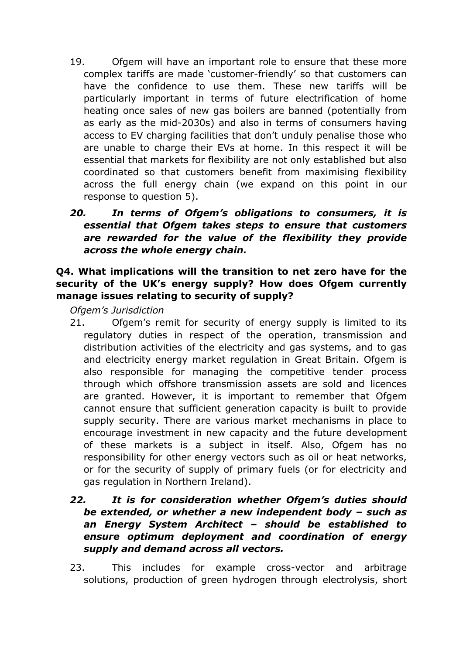19. Ofgem will have an important role to ensure that these more complex tariffs are made 'customer-friendly' so that customers can have the confidence to use them. These new tariffs will be particularly important in terms of future electrification of home heating once sales of new gas boilers are banned (potentially from as early as the mid-2030s) and also in terms of consumers having access to EV charging facilities that don't unduly penalise those who are unable to charge their EVs at home. In this respect it will be essential that markets for flexibility are not only established but also coordinated so that customers benefit from maximising flexibility across the full energy chain (we expand on this point in our response to question 5).

# *20. In terms of Ofgem's obligations to consumers, it is essential that Ofgem takes steps to ensure that customers are rewarded for the value of the flexibility they provide across the whole energy chain.*

# **Q4. What implications will the transition to net zero have for the security of the UK's energy supply? How does Ofgem currently manage issues relating to security of supply?**

*Ofgem's Jurisdiction*

21. Ofgem's remit for security of energy supply is limited to its regulatory duties in respect of the operation, transmission and distribution activities of the electricity and gas systems, and to gas and electricity energy market regulation in Great Britain. Ofgem is also responsible for managing the competitive tender process through which offshore transmission assets are sold and licences are granted. However, it is important to remember that Ofgem cannot ensure that sufficient generation capacity is built to provide supply security. There are various market mechanisms in place to encourage investment in new capacity and the future development of these markets is a subject in itself. Also, Ofgem has no responsibility for other energy vectors such as oil or heat networks, or for the security of supply of primary fuels (or for electricity and gas regulation in Northern Ireland).

# *22. It is for consideration whether Ofgem's duties should be extended, or whether a new independent body – such as an Energy System Architect – should be established to ensure optimum deployment and coordination of energy supply and demand across all vectors.*

23. This includes for example cross-vector and arbitrage solutions, production of green hydrogen through electrolysis, short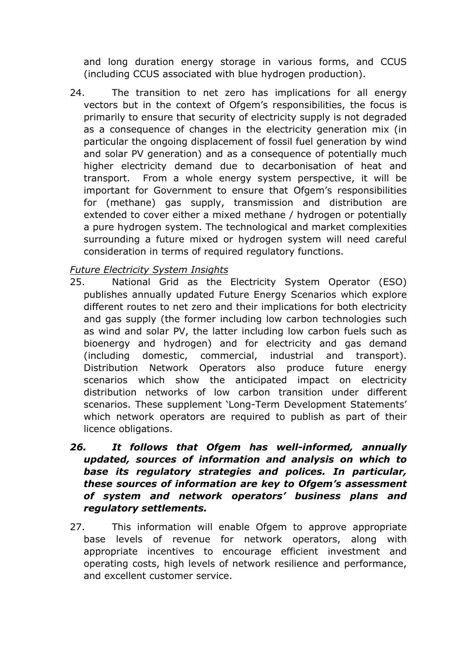and long duration energy storage in various forms, and CCUS (including CCUS associated with blue hydrogen production).

24. The transition to net zero has implications for all energy vectors but in the context of Ofgem's responsibilities, the focus is primarily to ensure that security of electricity supply is not degraded as a consequence of changes in the electricity generation mix (in particular the ongoing displacement of fossil fuel generation by wind and solar PV generation) and as a consequence of potentially much higher electricity demand due to decarbonisation of heat and transport. From a whole energy system perspective, it will be important for Government to ensure that Ofgem's responsibilities for (methane) gas supply, transmission and distribution are extended to cover either a mixed methane / hydrogen or potentially a pure hydrogen system. The technological and market complexities surrounding a future mixed or hydrogen system will need careful consideration in terms of required regulatory functions.

# *Future Electricity System Insights*

- 25. National Grid as the Electricity System Operator (ESO) publishes annually updated Future Energy Scenarios which explore different routes to net zero and their implications for both electricity and gas supply (the former including low carbon technologies such as wind and solar PV, the latter including low carbon fuels such as bioenergy and hydrogen) and for electricity and gas demand (including domestic, commercial, industrial and transport). Distribution Network Operators also produce future energy scenarios which show the anticipated impact on electricity distribution networks of low carbon transition under different scenarios. These supplement 'Long-Term Development Statements' which network operators are required to publish as part of their licence obligations.
- *26. It follows that Ofgem has well-informed, annually updated, sources of information and analysis on which to base its regulatory strategies and polices. In particular, these sources of information are key to Ofgem's assessment of system and network operators' business plans and regulatory settlements.*
- 27. This information will enable Ofgem to approve appropriate base levels of revenue for network operators, along with appropriate incentives to encourage efficient investment and operating costs, high levels of network resilience and performance, and excellent customer service.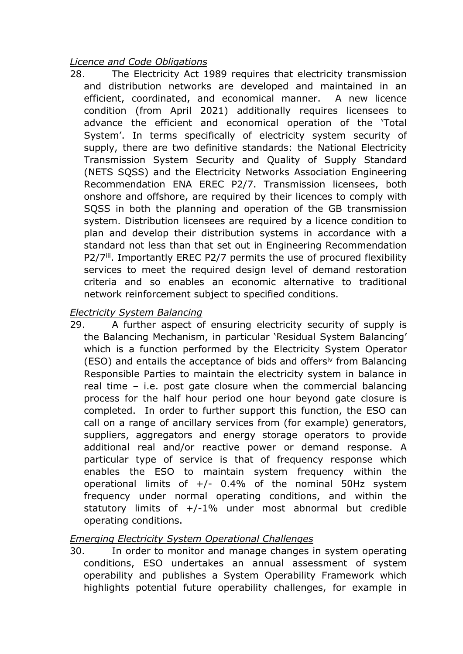### *Licence and Code Obligations*

28. The Electricity Act 1989 requires that electricity transmission and distribution networks are developed and maintained in an efficient, coordinated, and economical manner. A new licence condition (from April 2021) additionally requires licensees to advance the efficient and economical operation of the 'Total System'. In terms specifically of electricity system security of supply, there are two definitive standards: the National Electricity Transmission System Security and Quality of Supply Standard (NETS SQSS) and the Electricity Networks Association Engineering Recommendation ENA EREC P2/7. Transmission licensees, both onshore and offshore, are required by their licences to comply with SQSS in both the planning and operation of the GB transmission system. Distribution licensees are required by a licence condition to plan and develop their distribution systems in accordance with a standard not less than that set out in Engineering Recommendation P2/7<sup>iii</sup>. Importantly EREC P2/7 permits the use of procured flexibility services to meet the required design level of demand restoration criteria and so enables an economic alternative to traditional network reinforcement subject to specified conditions.

#### *Electricity System Balancing*

29. A further aspect of ensuring electricity security of supply is the Balancing Mechanism, in particular 'Residual System Balancing' which is a function performed by the Electricity System Operator (ESO) and entails the acceptance of bids and offersiv from Balancing Responsible Parties to maintain the electricity system in balance in real time – i.e. post gate closure when the commercial balancing process for the half hour period one hour beyond gate closure is completed. In order to further support this function, the ESO can call on a range of ancillary services from (for example) generators, suppliers, aggregators and energy storage operators to provide additional real and/or reactive power or demand response. A particular type of service is that of frequency response which enables the ESO to maintain system frequency within the operational limits of  $+/$ - 0.4% of the nominal 50Hz system frequency under normal operating conditions, and within the statutory limits of +/-1% under most abnormal but credible operating conditions.

# *Emerging Electricity System Operational Challenges*

30. In order to monitor and manage changes in system operating conditions, ESO undertakes an annual assessment of system operability and publishes a System Operability Framework which highlights potential future operability challenges, for example in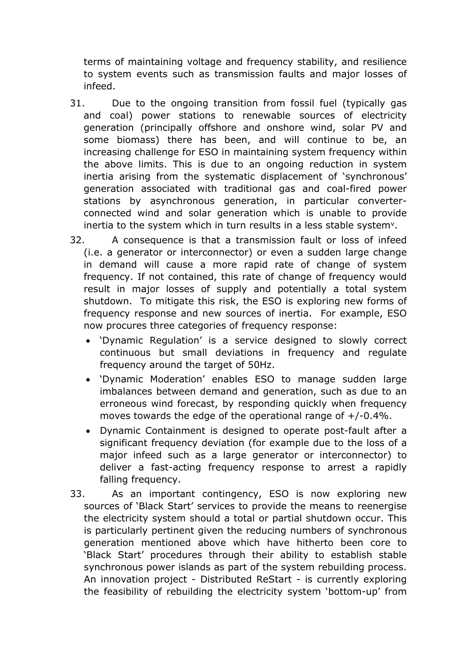terms of maintaining voltage and frequency stability, and resilience to system events such as transmission faults and major losses of infeed.

- 31. Due to the ongoing transition from fossil fuel (typically gas and coal) power stations to renewable sources of electricity generation (principally offshore and onshore wind, solar PV and some biomass) there has been, and will continue to be, an increasing challenge for ESO in maintaining system frequency within the above limits. This is due to an ongoing reduction in system inertia arising from the systematic displacement of 'synchronous' generation associated with traditional gas and coal-fired power stations by asynchronous generation, in particular converterconnected wind and solar generation which is unable to provide inertia to the system which in turn results in a less stable system<sup>v</sup>.
- 32. A consequence is that a transmission fault or loss of infeed (i.e. a generator or interconnector) or even a sudden large change in demand will cause a more rapid rate of change of system frequency. If not contained, this rate of change of frequency would result in major losses of supply and potentially a total system shutdown. To mitigate this risk, the ESO is exploring new forms of frequency response and new sources of inertia. For example, ESO now procures three categories of frequency response:
	- 'Dynamic Regulation' is a service designed to slowly correct continuous but small deviations in frequency and regulate frequency around the target of 50Hz.
	- 'Dynamic Moderation' enables ESO to manage sudden large imbalances between demand and generation, such as due to an erroneous wind forecast, by responding quickly when frequency moves towards the edge of the operational range of +/-0.4%.
	- Dynamic Containment is designed to operate post-fault after a significant frequency deviation (for example due to the loss of a major infeed such as a large generator or interconnector) to deliver a fast-acting frequency response to arrest a rapidly falling frequency.
- 33. As an important contingency, ESO is now exploring new sources of 'Black Start' services to provide the means to reenergise the electricity system should a total or partial shutdown occur. This is particularly pertinent given the reducing numbers of synchronous generation mentioned above which have hitherto been core to 'Black Start' procedures through their ability to establish stable synchronous power islands as part of the system rebuilding process. An innovation project - Distributed ReStart - is currently exploring the feasibility of rebuilding the electricity system 'bottom-up' from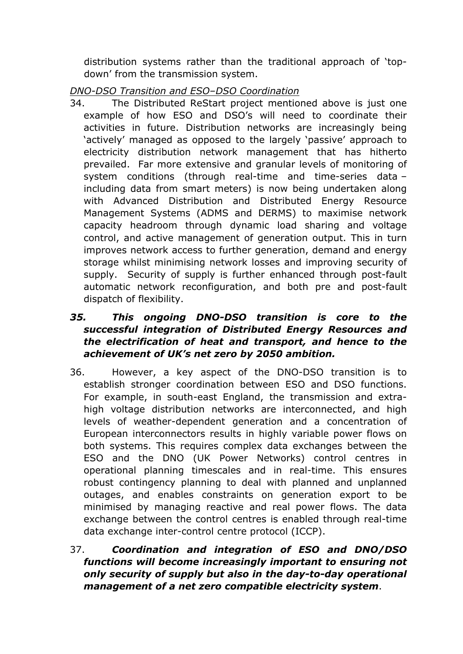distribution systems rather than the traditional approach of 'topdown' from the transmission system.

*DNO-DSO Transition and ESO–DSO Coordination*

34. The Distributed ReStart project mentioned above is just one example of how ESO and DSO's will need to coordinate their activities in future. Distribution networks are increasingly being 'actively' managed as opposed to the largely 'passive' approach to electricity distribution network management that has hitherto prevailed. Far more extensive and granular levels of monitoring of system conditions (through real-time and time-series data – including data from smart meters) is now being undertaken along with Advanced Distribution and Distributed Energy Resource Management Systems (ADMS and DERMS) to maximise network capacity headroom through dynamic load sharing and voltage control, and active management of generation output. This in turn improves network access to further generation, demand and energy storage whilst minimising network losses and improving security of supply. Security of supply is further enhanced through post-fault automatic network reconfiguration, and both pre and post-fault dispatch of flexibility.

# *35. This ongoing DNO-DSO transition is core to the successful integration of Distributed Energy Resources and the electrification of heat and transport, and hence to the achievement of UK's net zero by 2050 ambition.*

- 36. However, a key aspect of the DNO-DSO transition is to establish stronger coordination between ESO and DSO functions. For example, in south-east England, the transmission and extrahigh voltage distribution networks are interconnected, and high levels of weather-dependent generation and a concentration of European interconnectors results in highly variable power flows on both systems. This requires complex data exchanges between the ESO and the DNO (UK Power Networks) control centres in operational planning timescales and in real-time. This ensures robust contingency planning to deal with planned and unplanned outages, and enables constraints on generation export to be minimised by managing reactive and real power flows. The data exchange between the control centres is enabled through real-time data exchange inter-control centre protocol (ICCP).
- 37. *Coordination and integration of ESO and DNO/DSO functions will become increasingly important to ensuring not only security of supply but also in the day-to-day operational management of a net zero compatible electricity system*.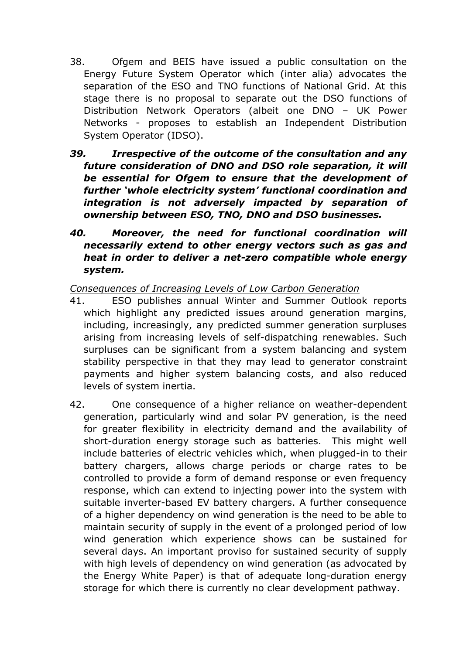- 38. Ofgem and BEIS have issued a public consultation on the Energy Future System Operator which (inter alia) advocates the separation of the ESO and TNO functions of National Grid. At this stage there is no proposal to separate out the DSO functions of Distribution Network Operators (albeit one DNO – UK Power Networks - proposes to establish an Independent Distribution System Operator (IDSO).
- *39. Irrespective of the outcome of the consultation and any future consideration of DNO and DSO role separation, it will be essential for Ofgem to ensure that the development of further 'whole electricity system' functional coordination and integration is not adversely impacted by separation of ownership between ESO, TNO, DNO and DSO businesses.*
- *40. Moreover, the need for functional coordination will necessarily extend to other energy vectors such as gas and heat in order to deliver a net-zero compatible whole energy system.*

*Consequences of Increasing Levels of Low Carbon Generation*

- 41. ESO publishes annual Winter and Summer Outlook reports which highlight any predicted issues around generation margins, including, increasingly, any predicted summer generation surpluses arising from increasing levels of self-dispatching renewables. Such surpluses can be significant from a system balancing and system stability perspective in that they may lead to generator constraint payments and higher system balancing costs, and also reduced levels of system inertia.
- 42. One consequence of a higher reliance on weather-dependent generation, particularly wind and solar PV generation, is the need for greater flexibility in electricity demand and the availability of short-duration energy storage such as batteries. This might well include batteries of electric vehicles which, when plugged-in to their battery chargers, allows charge periods or charge rates to be controlled to provide a form of demand response or even frequency response, which can extend to injecting power into the system with suitable inverter-based EV battery chargers. A further consequence of a higher dependency on wind generation is the need to be able to maintain security of supply in the event of a prolonged period of low wind generation which experience shows can be sustained for several days. An important proviso for sustained security of supply with high levels of dependency on wind generation (as advocated by the Energy White Paper) is that of adequate long-duration energy storage for which there is currently no clear development pathway.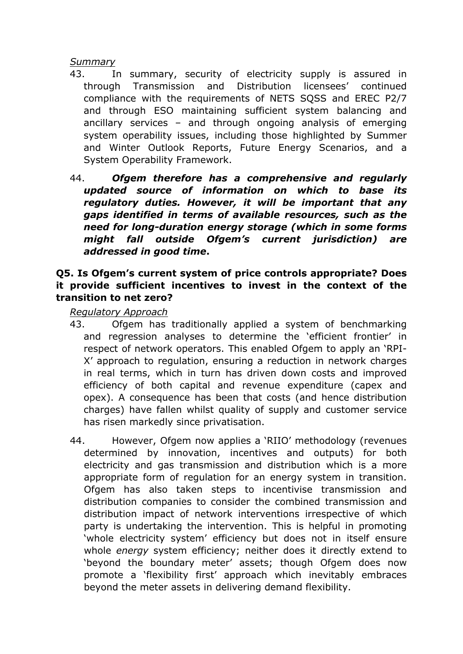#### *Summary*

- 43. In summary, security of electricity supply is assured in through Transmission and Distribution licensees' continued compliance with the requirements of NETS SQSS and EREC P2/7 and through ESO maintaining sufficient system balancing and ancillary services – and through ongoing analysis of emerging system operability issues, including those highlighted by Summer and Winter Outlook Reports, Future Energy Scenarios, and a System Operability Framework.
- 44. *Ofgem therefore has a comprehensive and regularly updated source of information on which to base its regulatory duties. However, it will be important that any gaps identified in terms of available resources, such as the need for long-duration energy storage (which in some forms might fall outside Ofgem's current jurisdiction) are addressed in good time***.**

# **Q5. Is Ofgem's current system of price controls appropriate? Does it provide sufficient incentives to invest in the context of the transition to net zero?**

*Regulatory Approach*

- 43. Ofgem has traditionally applied a system of benchmarking and regression analyses to determine the 'efficient frontier' in respect of network operators. This enabled Ofgem to apply an 'RPI-X' approach to regulation, ensuring a reduction in network charges in real terms, which in turn has driven down costs and improved efficiency of both capital and revenue expenditure (capex and opex). A consequence has been that costs (and hence distribution charges) have fallen whilst quality of supply and customer service has risen markedly since privatisation.
- 44. However, Ofgem now applies a 'RIIO' methodology (revenues determined by innovation, incentives and outputs) for both electricity and gas transmission and distribution which is a more appropriate form of regulation for an energy system in transition. Ofgem has also taken steps to incentivise transmission and distribution companies to consider the combined transmission and distribution impact of network interventions irrespective of which party is undertaking the intervention. This is helpful in promoting 'whole electricity system' efficiency but does not in itself ensure whole *energy* system efficiency; neither does it directly extend to 'beyond the boundary meter' assets; though Ofgem does now promote a 'flexibility first' approach which inevitably embraces beyond the meter assets in delivering demand flexibility.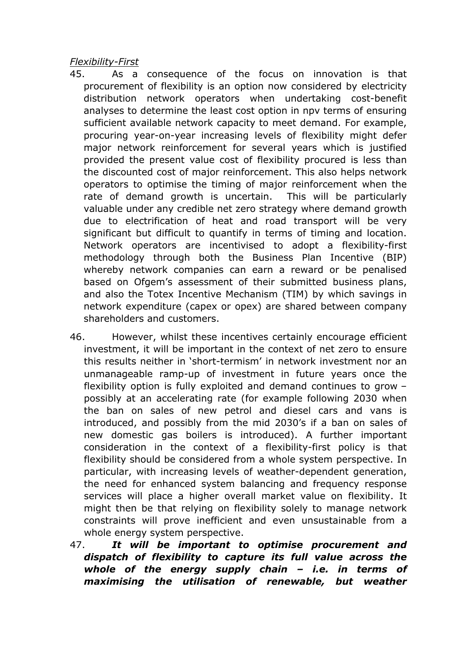*Flexibility-First*

- 45. As a consequence of the focus on innovation is that procurement of flexibility is an option now considered by electricity distribution network operators when undertaking cost-benefit analyses to determine the least cost option in npv terms of ensuring sufficient available network capacity to meet demand. For example, procuring year-on-year increasing levels of flexibility might defer major network reinforcement for several years which is justified provided the present value cost of flexibility procured is less than the discounted cost of major reinforcement. This also helps network operators to optimise the timing of major reinforcement when the rate of demand growth is uncertain. This will be particularly valuable under any credible net zero strategy where demand growth due to electrification of heat and road transport will be very significant but difficult to quantify in terms of timing and location. Network operators are incentivised to adopt a flexibility-first methodology through both the Business Plan Incentive (BIP) whereby network companies can earn a reward or be penalised based on Ofgem's assessment of their submitted business plans, and also the Totex Incentive Mechanism (TIM) by which savings in network expenditure (capex or opex) are shared between company shareholders and customers.
- 46. However, whilst these incentives certainly encourage efficient investment, it will be important in the context of net zero to ensure this results neither in 'short-termism' in network investment nor an unmanageable ramp-up of investment in future years once the flexibility option is fully exploited and demand continues to grow – possibly at an accelerating rate (for example following 2030 when the ban on sales of new petrol and diesel cars and vans is introduced, and possibly from the mid 2030's if a ban on sales of new domestic gas boilers is introduced). A further important consideration in the context of a flexibility-first policy is that flexibility should be considered from a whole system perspective. In particular, with increasing levels of weather-dependent generation, the need for enhanced system balancing and frequency response services will place a higher overall market value on flexibility. It might then be that relying on flexibility solely to manage network constraints will prove inefficient and even unsustainable from a whole energy system perspective.
- 47. *It will be important to optimise procurement and dispatch of flexibility to capture its full value across the whole of the energy supply chain – i.e. in terms of maximising the utilisation of renewable, but weather*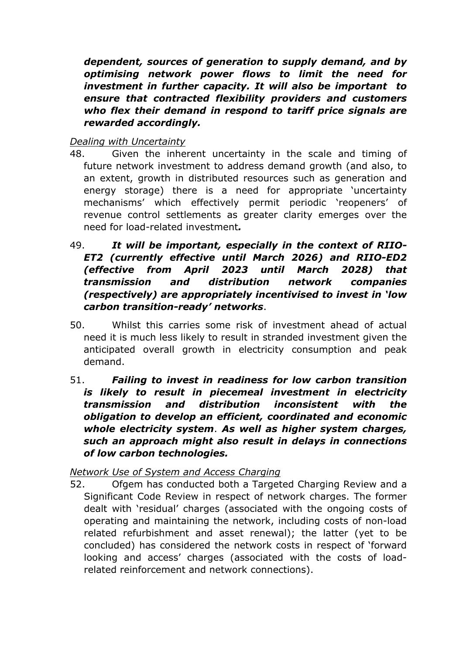*dependent, sources of generation to supply demand, and by optimising network power flows to limit the need for investment in further capacity. It will also be important to ensure that contracted flexibility providers and customers who flex their demand in respond to tariff price signals are rewarded accordingly.*

# *Dealing with Uncertainty*

- 48. Given the inherent uncertainty in the scale and timing of future network investment to address demand growth (and also, to an extent, growth in distributed resources such as generation and energy storage) there is a need for appropriate 'uncertainty mechanisms' which effectively permit periodic 'reopeners' of revenue control settlements as greater clarity emerges over the need for load-related investment*.*
- 49. *It will be important, especially in the context of RIIO-ET2 (currently effective until March 2026) and RIIO-ED2 (effective from April 2023 until March 2028) that transmission and distribution network companies (respectively) are appropriately incentivised to invest in 'low carbon transition-ready' networks*.
- 50. Whilst this carries some risk of investment ahead of actual need it is much less likely to result in stranded investment given the anticipated overall growth in electricity consumption and peak demand.
- 51. *Failing to invest in readiness for low carbon transition is likely to result in piecemeal investment in electricity transmission and distribution inconsistent with the obligation to develop an efficient, coordinated and economic whole electricity system*. *As well as higher system charges, such an approach might also result in delays in connections of low carbon technologies.*

# *Network Use of System and Access Charging*

52. Ofgem has conducted both a Targeted Charging Review and a Significant Code Review in respect of network charges. The former dealt with 'residual' charges (associated with the ongoing costs of operating and maintaining the network, including costs of non-load related refurbishment and asset renewal); the latter (yet to be concluded) has considered the network costs in respect of 'forward looking and access' charges (associated with the costs of loadrelated reinforcement and network connections).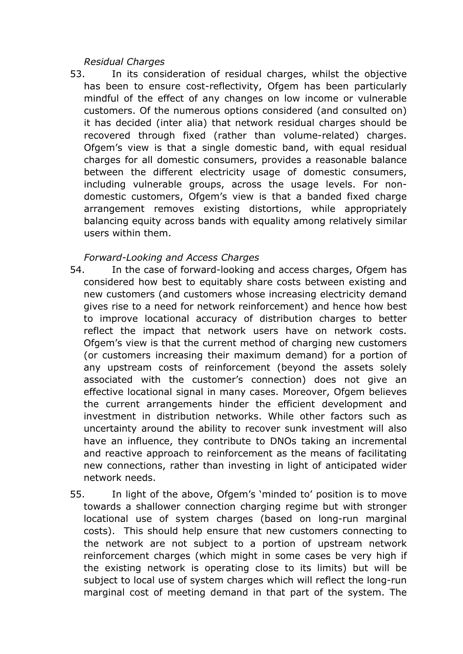#### *Residual Charges*

53. In its consideration of residual charges, whilst the objective has been to ensure cost-reflectivity, Ofgem has been particularly mindful of the effect of any changes on low income or vulnerable customers. Of the numerous options considered (and consulted on) it has decided (inter alia) that network residual charges should be recovered through fixed (rather than volume-related) charges. Ofgem's view is that a single domestic band, with equal residual charges for all domestic consumers, provides a reasonable balance between the different electricity usage of domestic consumers, including vulnerable groups, across the usage levels. For nondomestic customers, Ofgem's view is that a banded fixed charge arrangement removes existing distortions, while appropriately balancing equity across bands with equality among relatively similar users within them.

#### *Forward-Looking and Access Charges*

- 54. In the case of forward-looking and access charges, Ofgem has considered how best to equitably share costs between existing and new customers (and customers whose increasing electricity demand gives rise to a need for network reinforcement) and hence how best to improve locational accuracy of distribution charges to better reflect the impact that network users have on network costs. Ofgem's view is that the current method of charging new customers (or customers increasing their maximum demand) for a portion of any upstream costs of reinforcement (beyond the assets solely associated with the customer's connection) does not give an effective locational signal in many cases. Moreover, Ofgem believes the current arrangements hinder the efficient development and investment in distribution networks. While other factors such as uncertainty around the ability to recover sunk investment will also have an influence, they contribute to DNOs taking an incremental and reactive approach to reinforcement as the means of facilitating new connections, rather than investing in light of anticipated wider network needs.
- 55. In light of the above, Ofgem's 'minded to' position is to move towards a shallower connection charging regime but with stronger locational use of system charges (based on long-run marginal costs). This should help ensure that new customers connecting to the network are not subject to a portion of upstream network reinforcement charges (which might in some cases be very high if the existing network is operating close to its limits) but will be subject to local use of system charges which will reflect the long-run marginal cost of meeting demand in that part of the system. The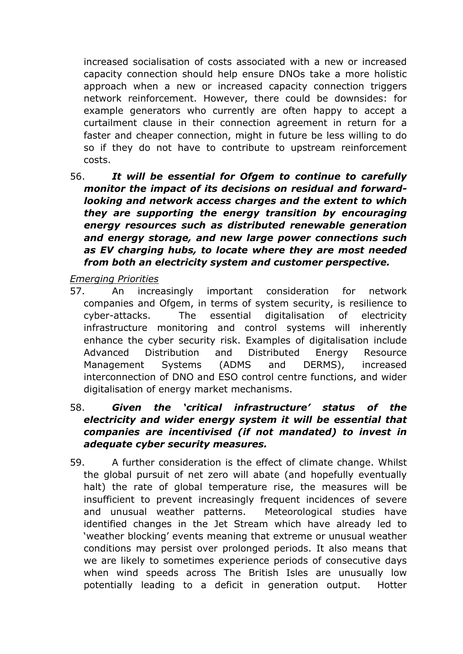increased socialisation of costs associated with a new or increased capacity connection should help ensure DNOs take a more holistic approach when a new or increased capacity connection triggers network reinforcement. However, there could be downsides: for example generators who currently are often happy to accept a curtailment clause in their connection agreement in return for a faster and cheaper connection, might in future be less willing to do so if they do not have to contribute to upstream reinforcement costs.

56. *It will be essential for Ofgem to continue to carefully monitor the impact of its decisions on residual and forwardlooking and network access charges and the extent to which they are supporting the energy transition by encouraging energy resources such as distributed renewable generation and energy storage, and new large power connections such as EV charging hubs, to locate where they are most needed from both an electricity system and customer perspective.*

*Emerging Priorities*

- 57. An increasingly important consideration for network companies and Ofgem, in terms of system security, is resilience to cyber-attacks. The essential digitalisation of electricity infrastructure monitoring and control systems will inherently enhance the cyber security risk. Examples of digitalisation include Advanced Distribution and Distributed Energy Resource Management Systems (ADMS and DERMS), increased interconnection of DNO and ESO control centre functions, and wider digitalisation of energy market mechanisms.
- 58. *Given the 'critical infrastructure' status of the electricity and wider energy system it will be essential that companies are incentivised (if not mandated) to invest in adequate cyber security measures.*
- 59. A further consideration is the effect of climate change. Whilst the global pursuit of net zero will abate (and hopefully eventually halt) the rate of global temperature rise, the measures will be insufficient to prevent increasingly frequent incidences of severe and unusual weather patterns. Meteorological studies have identified changes in the Jet Stream which have already led to 'weather blocking' events meaning that extreme or unusual weather conditions may persist over prolonged periods. It also means that we are likely to sometimes experience periods of consecutive days when wind speeds across The British Isles are unusually low potentially leading to a deficit in generation output. Hotter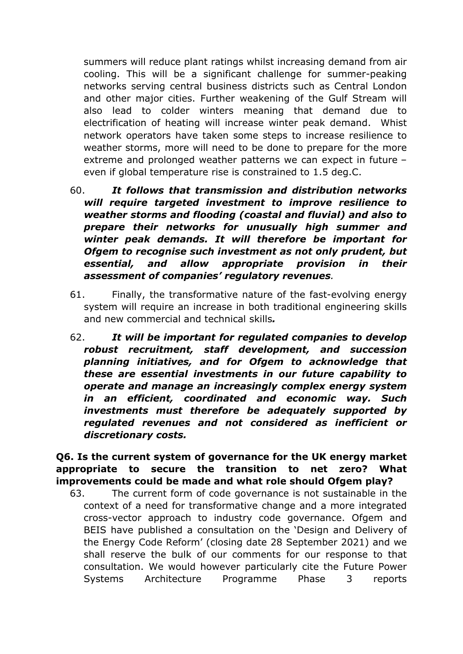summers will reduce plant ratings whilst increasing demand from air cooling. This will be a significant challenge for summer-peaking networks serving central business districts such as Central London and other major cities. Further weakening of the Gulf Stream will also lead to colder winters meaning that demand due to electrification of heating will increase winter peak demand. Whist network operators have taken some steps to increase resilience to weather storms, more will need to be done to prepare for the more extreme and prolonged weather patterns we can expect in future – even if global temperature rise is constrained to 1.5 deg.C.

- 60. *It follows that transmission and distribution networks will require targeted investment to improve resilience to weather storms and flooding (coastal and fluvial) and also to prepare their networks for unusually high summer and winter peak demands. It will therefore be important for Ofgem to recognise such investment as not only prudent, but essential, and allow appropriate provision in their assessment of companies' regulatory revenues.*
- 61. Finally, the transformative nature of the fast-evolving energy system will require an increase in both traditional engineering skills and new commercial and technical skills*.*
- 62. *It will be important for regulated companies to develop robust recruitment, staff development, and succession planning initiatives, and for Ofgem to acknowledge that these are essential investments in our future capability to operate and manage an increasingly complex energy system in an efficient, coordinated and economic way. Such investments must therefore be adequately supported by regulated revenues and not considered as inefficient or discretionary costs.*

**Q6. Is the current system of governance for the UK energy market appropriate to secure the transition to net zero? What improvements could be made and what role should Ofgem play?**

63. The current form of code governance is not sustainable in the context of a need for transformative change and a more integrated cross-vector approach to industry code governance. Ofgem and BEIS have published a consultation on the 'Design and Delivery of the Energy Code Reform' (closing date 28 September 2021) and we shall reserve the bulk of our comments for our response to that consultation. We would however particularly cite the Future Power Systems Architecture Programme Phase 3 reports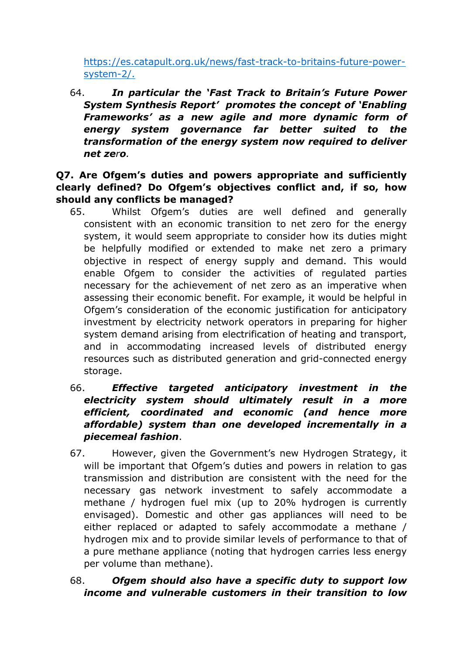[https://es.catapult.org.uk/news/fast-track-to-britains-future-power](https://es.catapult.org.uk/news/fast-track-to-britains-future-power-system-2/)[system-2/](https://es.catapult.org.uk/news/fast-track-to-britains-future-power-system-2/).

64. *In particular the 'Fast Track to Britain's Future Power System Synthesis Report' promotes the concept of 'Enabling Frameworks' as a new agile and more dynamic form of energy system governance far better suited to the transformation of the energy system now required to deliver net zero.*

**Q7. Are Ofgem's duties and powers appropriate and sufficiently clearly defined? Do Ofgem's objectives conflict and, if so, how should any conflicts be managed?**

- 65. Whilst Ofgem's duties are well defined and generally consistent with an economic transition to net zero for the energy system, it would seem appropriate to consider how its duties might be helpfully modified or extended to make net zero a primary objective in respect of energy supply and demand. This would enable Ofgem to consider the activities of regulated parties necessary for the achievement of net zero as an imperative when assessing their economic benefit. For example, it would be helpful in Ofgem's consideration of the economic justification for anticipatory investment by electricity network operators in preparing for higher system demand arising from electrification of heating and transport, and in accommodating increased levels of distributed energy resources such as distributed generation and grid-connected energy storage.
- 66. *Effective targeted anticipatory investment in the electricity system should ultimately result in a more efficient, coordinated and economic (and hence more affordable) system than one developed incrementally in a piecemeal fashion*.
- 67. However, given the Government's new Hydrogen Strategy, it will be important that Ofgem's duties and powers in relation to gas transmission and distribution are consistent with the need for the necessary gas network investment to safely accommodate a methane / hydrogen fuel mix (up to 20% hydrogen is currently envisaged). Domestic and other gas appliances will need to be either replaced or adapted to safely accommodate a methane / hydrogen mix and to provide similar levels of performance to that of a pure methane appliance (noting that hydrogen carries less energy per volume than methane).
- 68. *Ofgem should also have a specific duty to support low income and vulnerable customers in their transition to low*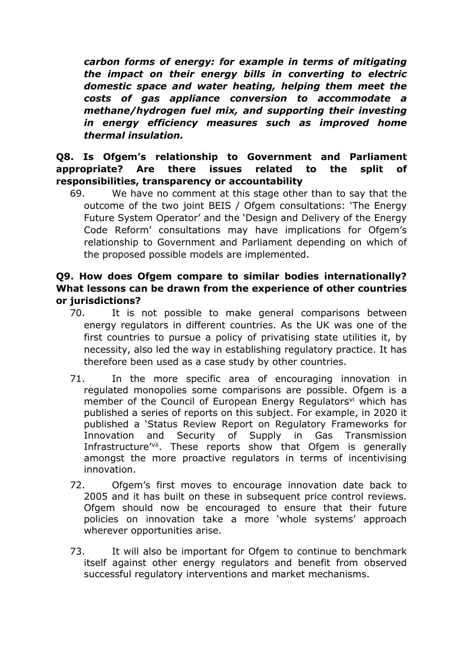*carbon forms of energy: for example in terms of mitigating the impact on their energy bills in converting to electric domestic space and water heating, helping them meet the costs of gas appliance conversion to accommodate a methane/hydrogen fuel mix, and supporting their investing in energy efficiency measures such as improved home thermal insulation.*

### **Q8. Is Ofgem's relationship to Government and Parliament appropriate? Are there issues related to the split of responsibilities, transparency or accountability**

69. We have no comment at this stage other than to say that the outcome of the two joint BEIS / Ofgem consultations: 'The Energy Future System Operator' and the 'Design and Delivery of the Energy Code Reform' consultations may have implications for Ofgem's relationship to Government and Parliament depending on which of the proposed possible models are implemented.

# **Q9. How does Ofgem compare to similar bodies internationally? What lessons can be drawn from the experience of other countries or jurisdictions?**

- 70. It is not possible to make general comparisons between energy regulators in different countries. As the UK was one of the first countries to pursue a policy of privatising state utilities it, by necessity, also led the way in establishing regulatory practice. It has therefore been used as a case study by other countries.
- 71. In the more specific area of encouraging innovation in regulated monopolies some comparisons are possible. Ofgem is a member of the Council of European Energy Regulators<sup>vi</sup> which has published a series of reports on this subject. For example, in 2020 it published a 'Status Review Report on Regulatory Frameworks for Innovation and Security of Supply in Gas Transmission Infrastructure'<sup>vii</sup>. These reports show that Ofgem is generally amongst the more proactive regulators in terms of incentivising innovation.
- 72. Ofgem's first moves to encourage innovation date back to 2005 and it has built on these in subsequent price control reviews. Ofgem should now be encouraged to ensure that their future policies on innovation take a more 'whole systems' approach wherever opportunities arise.
- 73. It will also be important for Ofgem to continue to benchmark itself against other energy regulators and benefit from observed successful regulatory interventions and market mechanisms.